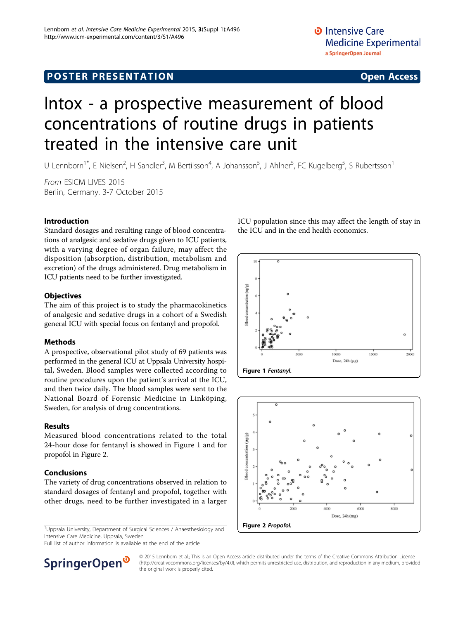## **POSTER PRESENTATION CONSUMING ACCESS**

# Intox - a prospective measurement of blood concentrations of routine drugs in patients treated in the intensive care unit

U Lennborn<sup>1\*</sup>, E Nielsen<sup>2</sup>, H Sandler<sup>3</sup>, M Bertilsson<sup>4</sup>, A Johansson<sup>5</sup>, J Ahlner<sup>5</sup>, FC Kugelberg<sup>5</sup>, S Rubertsson<sup>1</sup>

From ESICM LIVES 2015 Berlin, Germany. 3-7 October 2015

#### Introduction

Standard dosages and resulting range of blood concentrations of analgesic and sedative drugs given to ICU patients, with a varying degree of organ failure, may affect the disposition (absorption, distribution, metabolism and excretion) of the drugs administered. Drug metabolism in ICU patients need to be further investigated.

#### **Objectives**

The aim of this project is to study the pharmacokinetics of analgesic and sedative drugs in a cohort of a Swedish general ICU with special focus on fentanyl and propofol.

#### Methods

A prospective, observational pilot study of 69 patients was performed in the general ICU at Uppsala University hospital, Sweden. Blood samples were collected according to routine procedures upon the patient's arrival at the ICU, and then twice daily. The blood samples were sent to the National Board of Forensic Medicine in Linköping, Sweden, for analysis of drug concentrations.

#### Results

Measured blood concentrations related to the total 24-hour dose for fentanyl is showed in Figure 1 and for propofol in Figure 2.

#### Conclusions

The variety of drug concentrations observed in relation to standard dosages of fentanyl and propofol, together with other drugs, need to be further investigated in a larger

<sup>1</sup>Uppsala University, Department of Surgical Sciences / Anaesthesiology and Intensive Care Medicine, Uppsala, Sweden

Full list of author information is available at the end of the article



ICU population since this may affect the length of stay in the ICU and in the end health economics.





© 2015 Lennborn et al.; This is an Open Access article distributed under the terms of the Creative Commons Attribution License [\(http://creativecommons.org/licenses/by/4.0](http://creativecommons.org/licenses/by/4.0)), which permits unrestricted use, distribution, and reproduction in any medium, provided the original work is properly cited.